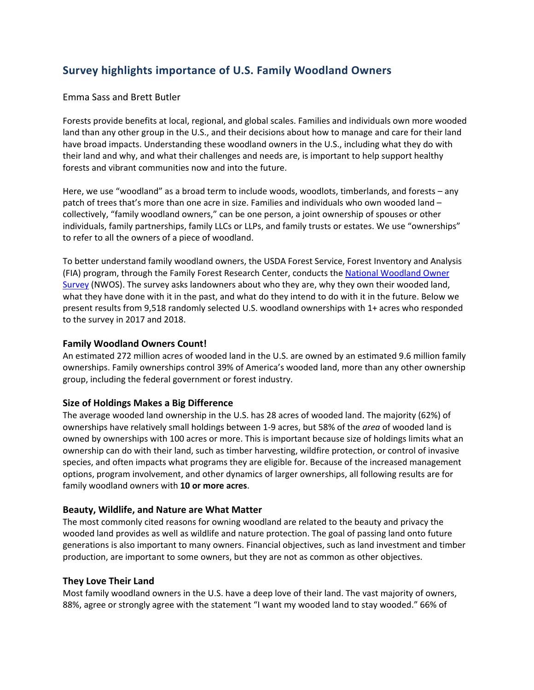# **Survey highlights importance of U.S. Family Woodland Owners**

## Emma Sass and Brett Butler

Forests provide benefits at local, regional, and global scales. Families and individuals own more wooded land than any other group in the U.S., and their decisions about how to manage and care for their land have broad impacts. Understanding these woodland owners in the U.S., including what they do with their land and why, and what their challenges and needs are, is important to help support healthy forests and vibrant communities now and into the future.

Here, we use "woodland" as a broad term to include woods, woodlots, timberlands, and forests – any patch of trees that's more than one acre in size. Families and individuals who own wooded land – collectively, "family woodland owners," can be one person, a joint ownership of spouses or other individuals, family partnerships, family LLCs or LLPs, and family trusts or estates. We use "ownerships" to refer to all the owners of a piece of woodland.

To better understand family woodland owners, the USDA Forest Service, Forest Inventory and Analysis (FIA) program, through the Family Forest Research Center, conducts the [National Woodland Owner](https://www.fia.fs.fed.us/nwos/)  [Survey](https://www.fia.fs.fed.us/nwos/) (NWOS). The survey asks landowners about who they are, why they own their wooded land, what they have done with it in the past, and what do they intend to do with it in the future. Below we present results from 9,518 randomly selected U.S. woodland ownerships with 1+ acres who responded to the survey in 2017 and 2018.

#### **Family Woodland Owners Count!**

An estimated 272 million acres of wooded land in the U.S. are owned by an estimated 9.6 million family ownerships. Family ownerships control 39% of America's wooded land, more than any other ownership group, including the federal government or forest industry.

## **Size of Holdings Makes a Big Difference**

The average wooded land ownership in the U.S. has 28 acres of wooded land. The majority (62%) of ownerships have relatively small holdings between 1-9 acres, but 58% of the *area* of wooded land is owned by ownerships with 100 acres or more. This is important because size of holdings limits what an ownership can do with their land, such as timber harvesting, wildfire protection, or control of invasive species, and often impacts what programs they are eligible for. Because of the increased management options, program involvement, and other dynamics of larger ownerships, all following results are for family woodland owners with **10 or more acres**.

## **Beauty, Wildlife, and Nature are What Matter**

The most commonly cited reasons for owning woodland are related to the beauty and privacy the wooded land provides as well as wildlife and nature protection. The goal of passing land onto future generations is also important to many owners. Financial objectives, such as land investment and timber production, are important to some owners, but they are not as common as other objectives.

#### **They Love Their Land**

Most family woodland owners in the U.S. have a deep love of their land. The vast majority of owners, 88%, agree or strongly agree with the statement "I want my wooded land to stay wooded." 66% of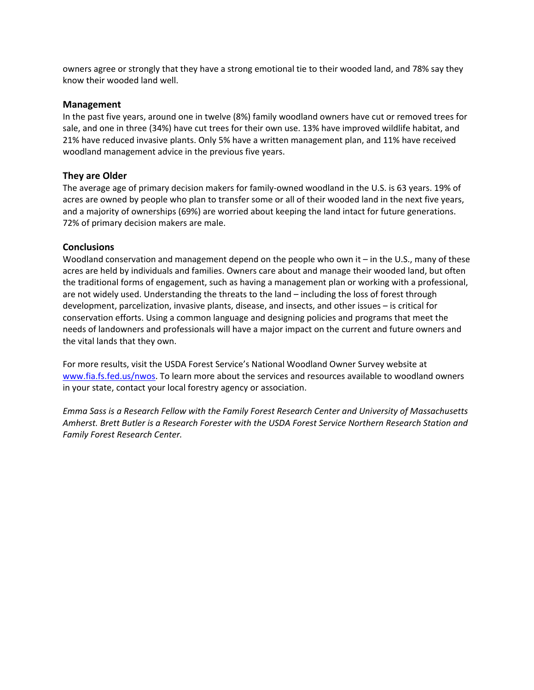owners agree or strongly that they have a strong emotional tie to their wooded land, and 78% say they know their wooded land well.

## **Management**

In the past five years, around one in twelve (8%) family woodland owners have cut or removed trees for sale, and one in three (34%) have cut trees for their own use. 13% have improved wildlife habitat, and 21% have reduced invasive plants. Only 5% have a written management plan, and 11% have received woodland management advice in the previous five years.

## **They are Older**

The average age of primary decision makers for family-owned woodland in the U.S. is 63 years. 19% of acres are owned by people who plan to transfer some or all of their wooded land in the next five years, and a majority of ownerships (69%) are worried about keeping the land intact for future generations. 72% of primary decision makers are male.

#### **Conclusions**

Woodland conservation and management depend on the people who own it – in the U.S., many of these acres are held by individuals and families. Owners care about and manage their wooded land, but often the traditional forms of engagement, such as having a management plan or working with a professional, are not widely used. Understanding the threats to the land – including the loss of forest through development, parcelization, invasive plants, disease, and insects, and other issues – is critical for conservation efforts. Using a common language and designing policies and programs that meet the needs of landowners and professionals will have a major impact on the current and future owners and the vital lands that they own.

For more results, visit the USDA Forest Service's National Woodland Owner Survey website at [www.fia.fs.fed.us/nwos.](http://www.fia.fs.fed.us/nwos) To learn more about the services and resources available to woodland owners in your state, contact your local forestry agency or association.

*Emma Sass is a Research Fellow with the Family Forest Research Center and University of Massachusetts Amherst. Brett Butler is a Research Forester with the USDA Forest Service Northern Research Station and Family Forest Research Center.*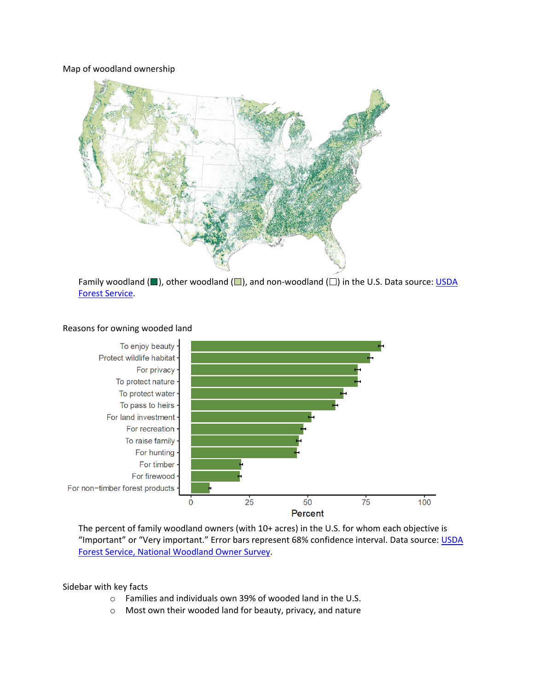#### Map of woodland ownership



Family woodland ( $\Box$ ), other woodland ( $\Box$ ), and non-woodland ( $\Box$ ) in the U.S. Data source: USDA [Forest Service.](https://doi.org/10.2737/RDS-2020-0044)



#### Reasons for owning wooded land

The percent of family woodland owners (with 10+ acres) in the U.S. for whom each objective is "Important" or "Very important." Error bars represent 68% confidence interval. Data source: [USDA](https://doi.org/10.2737/NRS-GTR-199)  [Forest Service, National Woodland Owner Survey.](https://doi.org/10.2737/NRS-GTR-199)

Sidebar with key facts

- o Families and individuals own 39% of wooded land in the U.S.
- o Most own their wooded land for beauty, privacy, and nature